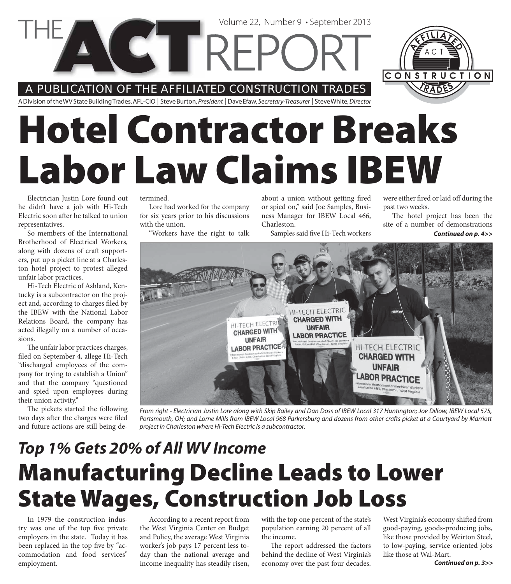Volume 22, Number 9 • September 2013

A PUBLICATION OF THE AFFILIATED CONSTRUCTION TRADES

**CELLRE** 



A Division of the WV State Building Trades, AFL-CIO | Steve Burton, President | Dave Efaw, Secretary-Treasurer | Steve White, Director

# **Hotel Contractor Breaks Labor Law Claims IBEW**

Electrician Justin Lore found out he didn't have a job with Hi-Tech Electric soon after he talked to union representatives.

So members of the International Brotherhood of Electrical Workers, along with dozens of craft supporters, put up a picket line at a Charleston hotel project to protest alleged unfair labor practices.

Hi-Tech Electric of Ashland, Kentucky is a subcontractor on the project and, according to charges filed by the IBEW with the National Labor Relations Board, the company has acted illegally on a number of occasions.

The unfair labor practices charges, filed on September 4, allege Hi-Tech "discharged employees of the company for trying to establish a Union" and that the company "questioned and spied upon employees during their union activity."

The pickets started the following two days after the charges were filed and future actions are still being de-

#### termined.

Lore had worked for the company for six years prior to his discussions with the union.

"Workers have the right to talk

about a union without getting fired or spied on," said Joe Samples, Business Manager for IBEW Local 466, Charleston.

Samples said five Hi-Tech workers

were either fired or laid off during the past two weeks.

The hotel project has been the site of a number of demonstrations *Continued on p. 4>>*



From right - Electrician Justin Lore along with Skip Bailey and Dan Doss of IBEW Local 317 Huntington; Joe Dillow, IBEW Local 575, Portsmouth, OH; and Lorne Mills from IBEW Local 968 Parkersburg and dozens from other crafts picket at a Courtyard by Marriott project in Charleston where Hi-Tech Electric is a subcontractor.

### **Manufacturing Decline Leads to Lower State Wages, Construction Job Loss** *Top 1% Gets 20% of All WV Income*

In 1979 the construction industry was one of the top five private employers in the state. Today it has been replaced in the top five by "accommodation and food services" employment.

According to a recent report from the West Virginia Center on Budget and Policy, the average West Virginia worker's job pays 17 percent less today than the national average and income inequality has steadily risen,

with the top one percent of the state's population earning 20 percent of all the income.

The report addressed the factors behind the decline of West Virginia's economy over the past four decades.

West Virginia's economy shifted from good-paying, goods-producing jobs, like those provided by Weirton Steel, to low-paying, service oriented jobs like those at Wal-Mart.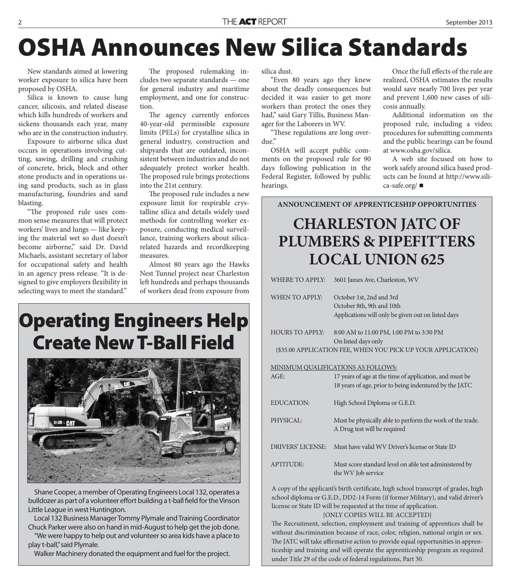### **OSHA Announces New Silica Standards**

New standards aimed at lowering worker exposure to silica have been proposed by OSHA.

Silica is known to cause lung cancer, silicosis, and related disease which kills hundreds of workers and sickens thousands each year, many who are in the construction industry.

Exposure to airborne silica dust occurs in operations involving cutting, sawing, drilling and crushing of concrete, brick, block and other stone products and in operations using sand products, such as in glass manufacturing, foundries and sand blasting.

"The proposed rule uses common sense measures that will protect workers' lives and lungs — like keeping the material wet so dust doesn't become airborne," said Dr. David Michaels, assistant secretary of labor for occupational safety and health in an agency press release. "It is designed to give employers flexibility in selecting ways to meet the standard."

The proposed rulemaking includes two separate standards — one for general industry and maritime employment, and one for construction.

The agency currently enforces 40-year-old permissible exposure limits (PELs) for crystalline silica in general industry, construction and shipyards that are outdated, inconsistent between industries and do not adequately protect worker health. The proposed rule brings protections into the 21st century.

The proposed rule includes a new exposure limit for respirable crystalline silica and details widely used methods for controlling worker exposure, conducting medical surveillance, training workers about silicarelated hazards and recordkeeping measures.

Almost 80 years ago the Hawks Nest Tunnel project near Charleston left hundreds and perhaps thousands of workers dead from exposure from

### **Operating Engineers Help Create New T-Ball Field**



Shane Cooper, a member of Operating Engineers Local 132, operates a bulldozer as part of a volunteer effort building a t-ball field for the Vinson Little League in west Huntington.

Local 132 Business Manager Tommy Plymale and Training Coordinator Chuck Parker were also on hand in mid-August to help get the job done. "We were happy to help out and volunteer so area kids have a place to play t-ball," said Plymale.

Walker Machinery donated the equipment and fuel for the project.

silica dust.

"Even 80 years ago they knew about the deadly consequences but decided it was easier to get more workers than protect the ones they had," said Gary Tillis, Business Manager for the Laborers in WV.

"These regulations are long overdue."

OSHA will accept public comments on the proposed rule for 90 days following publication in the Federal Register, followed by public hearings.

Once the full effects of the rule are realized, OSHA estimates the results would save nearly 700 lives per year and prevent 1,600 new cases of silicosis annually.

Additional information on the proposed rule, including a video; procedures for submitting comments and the public hearings can be found at www.osha.gov/silica.

A web site focused on how to work safely around silica based products can be found at http://www.silica-safe.org/

**ANNOUNCEMENT OF APPRENTICESHIP OPPORTUNITIES**

### **CHARLESTON JATC OF PLUMBERS & PIPEFITTERS LOCAL UNION 625**

|                                                              | <b>WHERE TO APPLY:</b>                                                                                                                                               | 3601 James Ave, Charleston, WV                                                                                    |  |
|--------------------------------------------------------------|----------------------------------------------------------------------------------------------------------------------------------------------------------------------|-------------------------------------------------------------------------------------------------------------------|--|
|                                                              | <b>WHEN TO APPLY:</b>                                                                                                                                                | October 1st, 2nd and 3rd<br>October 8th, 9th and 10th<br>Applications will only be given out on listed days       |  |
|                                                              | <b>HOURS TO APPLY:</b>                                                                                                                                               | 8:00 AM to 11:00 PM, 1:00 PM to 3:30 PM<br>On listed days only                                                    |  |
| (\$35.00 APPLICATION FEE, WHEN YOU PICK UP YOUR APPLICATION) |                                                                                                                                                                      |                                                                                                                   |  |
| MINIMUM QUALIFICATIONS AS FOLLOWS:                           |                                                                                                                                                                      |                                                                                                                   |  |
|                                                              | AGE:                                                                                                                                                                 | 17 years of age at the time of application, and must be<br>18 years of age, prior to being indentured by the JATC |  |
|                                                              | <b>EDUCATION:</b>                                                                                                                                                    | High School Diploma or G.E.D.                                                                                     |  |
|                                                              | PHYSICAL:                                                                                                                                                            | Must be physically able to perform the work of the trade.<br>A Drug test will be required                         |  |
|                                                              | <b>DRIVERS' LICENSE:</b>                                                                                                                                             | Must have valid WV Driver's license or State ID                                                                   |  |
|                                                              | <b>APTITUDE:</b>                                                                                                                                                     | Must score standard level on able test administered by<br>the WV Job service                                      |  |
|                                                              | A copy of the applicant's birth certificate, high school transcript of grades, high<br>school diploma or G E D. DD2-14 Form (if former Military), and valid driver's |                                                                                                                   |  |

school diploma or G.E.D., DD2-14 Form (if former Military), and valid driver's license or State ID will be requested at the time of application.

{ONLY COPIES WILL BE ACCEPTED}

The Recruitment, selection, employment and training of apprentices shall be without discrimination because of race, color, religion, national origin or sex. The JATC will take affirmative action to provide equal opportunities in apprenticeship and training and will operate the apprenticeship program as required under Title 29 of the code of federal regulations, Part 30.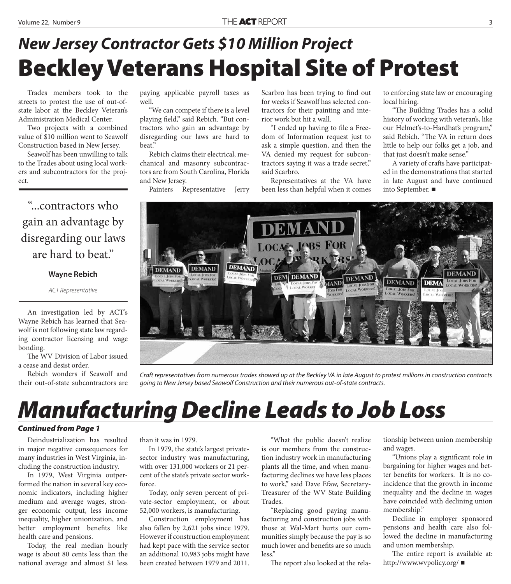### **Beckley Veterans Hospital Site of Protest** *New Jersey Contractor Gets \$10 Million Project*

Trades members took to the streets to protest the use of out-ofstate labor at the Beckley Veteran's Administration Medical Center.

Two projects with a combined value of \$10 million went to Seawolf Construction based in New Jersey.

Seawolf has been unwilling to talk to the Trades about using local workers and subcontractors for the project.

"...contractors who gain an advantage by disregarding our laws are hard to beat."

#### **Wayne Rebich**

#### ACT Representative

An investigation led by ACT's Wayne Rebich has learned that Seawolf is not following state law regarding contractor licensing and wage bonding.

The WV Division of Labor issued a cease and desist order.

Rebich wonders if Seawolf and their out-of-state subcontractors are paying applicable payroll taxes as well.

"We can compete if there is a level playing field," said Rebich. "But contractors who gain an advantage by disregarding our laws are hard to beat."

Rebich claims their electrical, mechanical and masonry subcontractors are from South Carolina, Florida and New Jersey.

Painters Representative Jerry

Scarbro has been trying to find out for weeks if Seawolf has selected contractors for their painting and interior work but hit a wall.

"I ended up having to file a Freedom of Information request just to ask a simple question, and then the VA denied my request for subcontractors saying it was a trade secret," said Scarbro.

Representatives at the VA have been less than helpful when it comes

to enforcing state law or encouraging local hiring.

"The Building Trades has a solid history of working with veteran's, like our Helmet's-to-Hardhat's program," said Rebich. "The VA in return does little to help our folks get a job, and that just doesn't make sense."

A variety of crafts have participated in the demonstrations that started in late August and have continued into September.



Craft representatives from numerous trades showed up at the Beckley VA in late August to protest millions in construction contracts going to New Jersey based Seawolf Construction and their numerous out-of-state contracts.

### *Manufacturing Decline Leads to Job Loss*

#### *Continued from Page 1*

Deindustrialization has resulted in major negative consequences for many industries in West Virginia, including the construction industry.

In 1979, West Virginia outperformed the nation in several key economic indicators, including higher medium and average wages, stronger economic output, less income inequality, higher unionization, and better employment benefits like health care and pensions.

Today, the real median hourly wage is about 80 cents less than the national average and almost \$1 less

than it was in 1979.

In 1979, the state's largest privatesector industry was manufacturing, with over 131,000 workers or 21 percent of the state's private sector workforce.

Today, only seven percent of private-sector employment, or about 52,000 workers, is manufacturing.

Construction employment has also fallen by 2,621 jobs since 1979. However if construction employment had kept pace with the service sector an additional 10,983 jobs might have been created between 1979 and 2011.

"What the public doesn't realize is our members from the construction industry work in manufacturing plants all the time, and when manufacturing declines we have less places to work," said Dave Efaw, Secretary-Treasurer of the WV State Building Trades.

"Replacing good paying manufacturing and construction jobs with those at Wal-Mart hurts our communities simply because the pay is so much lower and benefits are so much less."

The report also looked at the rela-

tionship between union membership and wages.

"Unions play a significant role in bargaining for higher wages and better benefits for workers. It is no coincidence that the growth in income inequality and the decline in wages have coincided with declining union membership."

Decline in employer sponsored pensions and health care also followed the decline in manufacturing and union membership.

The entire report is available at: http://www.wvpolicy.org/